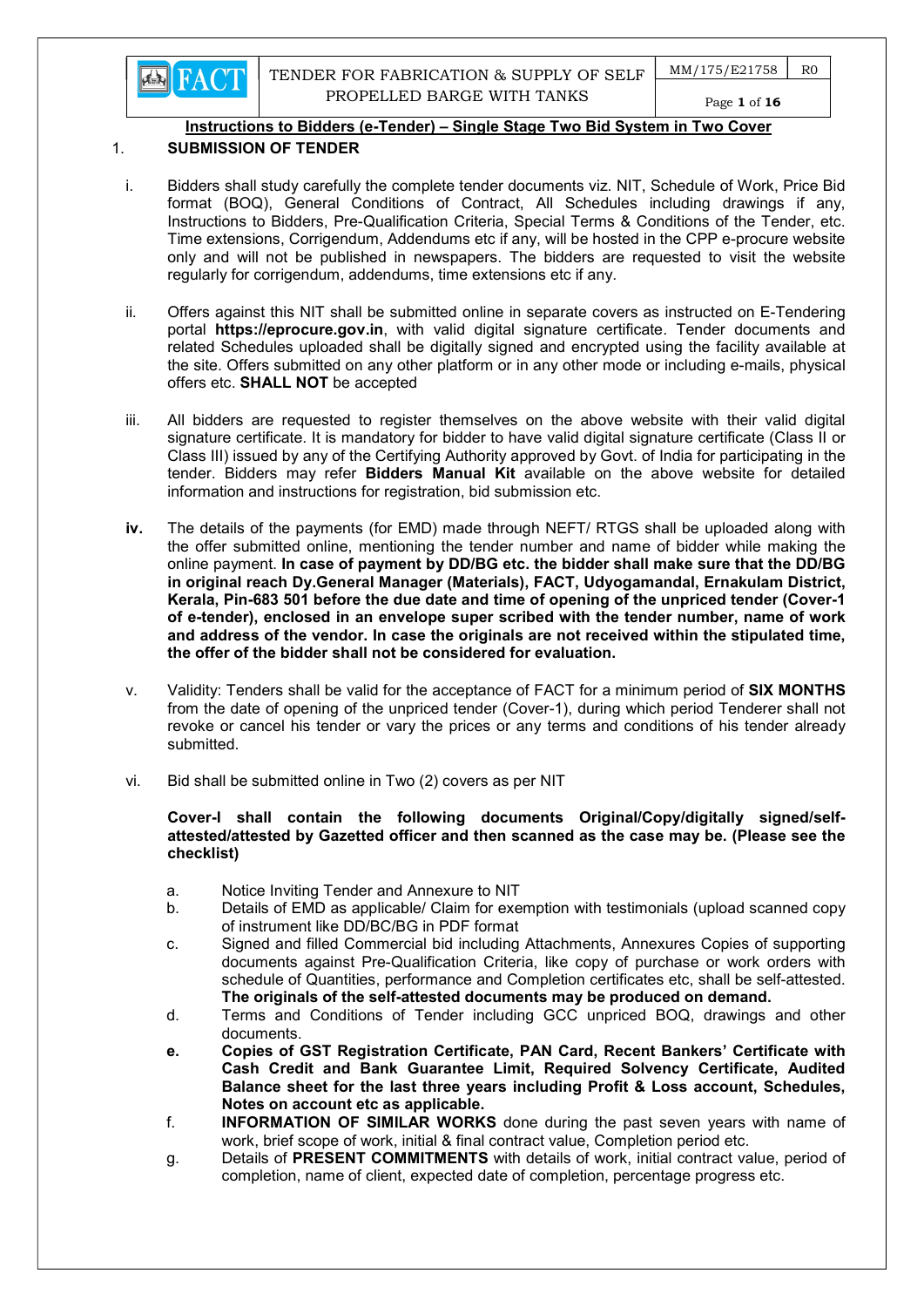

 $MM/175/E21758$   $RO$ 

Page 1 of 16

## Instructions to Bidders (e-Tender) – Single Stage Two Bid System in Two Cover

# 1. SUBMISSION OF TENDER

- i. Bidders shall study carefully the complete tender documents viz. NIT, Schedule of Work, Price Bid format (BOQ), General Conditions of Contract, All Schedules including drawings if any, Instructions to Bidders, Pre-Qualification Criteria, Special Terms & Conditions of the Tender, etc. Time extensions, Corrigendum, Addendums etc if any, will be hosted in the CPP e-procure website only and will not be published in newspapers. The bidders are requested to visit the website regularly for corrigendum, addendums, time extensions etc if any.
- ii. Offers against this NIT shall be submitted online in separate covers as instructed on E-Tendering portal https://eprocure.gov.in, with valid digital signature certificate. Tender documents and related Schedules uploaded shall be digitally signed and encrypted using the facility available at the site. Offers submitted on any other platform or in any other mode or including e-mails, physical offers etc. SHALL NOT be accepted
- iii. All bidders are requested to register themselves on the above website with their valid digital signature certificate. It is mandatory for bidder to have valid digital signature certificate (Class II or Class III) issued by any of the Certifying Authority approved by Govt. of India for participating in the tender. Bidders may refer **Bidders Manual Kit** available on the above website for detailed information and instructions for registration, bid submission etc.
- iv. The details of the payments (for EMD) made through NEFT/ RTGS shall be uploaded along with the offer submitted online, mentioning the tender number and name of bidder while making the online payment. In case of payment by DD/BG etc. the bidder shall make sure that the DD/BG in original reach Dy.General Manager (Materials), FACT, Udyogamandal, Ernakulam District, Kerala, Pin-683 501 before the due date and time of opening of the unpriced tender (Cover-1 of e-tender), enclosed in an envelope super scribed with the tender number, name of work and address of the vendor. In case the originals are not received within the stipulated time, the offer of the bidder shall not be considered for evaluation.
- v. Validity: Tenders shall be valid for the acceptance of FACT for a minimum period of SIX MONTHS from the date of opening of the unpriced tender (Cover-1), during which period Tenderer shall not revoke or cancel his tender or vary the prices or any terms and conditions of his tender already submitted.
- vi. Bid shall be submitted online in Two (2) covers as per NIT

## Cover-I shall contain the following documents Original/Copy/digitally signed/selfattested/attested by Gazetted officer and then scanned as the case may be. (Please see the checklist)

- a. Notice Inviting Tender and Annexure to NIT
- b. Details of EMD as applicable/ Claim for exemption with testimonials (upload scanned copy of instrument like DD/BC/BG in PDF format
- c. Signed and filled Commercial bid including Attachments, Annexures Copies of supporting documents against Pre-Qualification Criteria, like copy of purchase or work orders with schedule of Quantities, performance and Completion certificates etc, shall be self-attested. The originals of the self-attested documents may be produced on demand.
- d. Terms and Conditions of Tender including GCC unpriced BOQ, drawings and other documents.
- e. Copies of GST Registration Certificate, PAN Card, Recent Bankers' Certificate with Cash Credit and Bank Guarantee Limit, Required Solvency Certificate, Audited Balance sheet for the last three years including Profit & Loss account, Schedules, Notes on account etc as applicable.
- f. INFORMATION OF SIMILAR WORKS done during the past seven years with name of work, brief scope of work, initial & final contract value, Completion period etc.
- g. Details of PRESENT COMMITMENTS with details of work, initial contract value, period of completion, name of client, expected date of completion, percentage progress etc.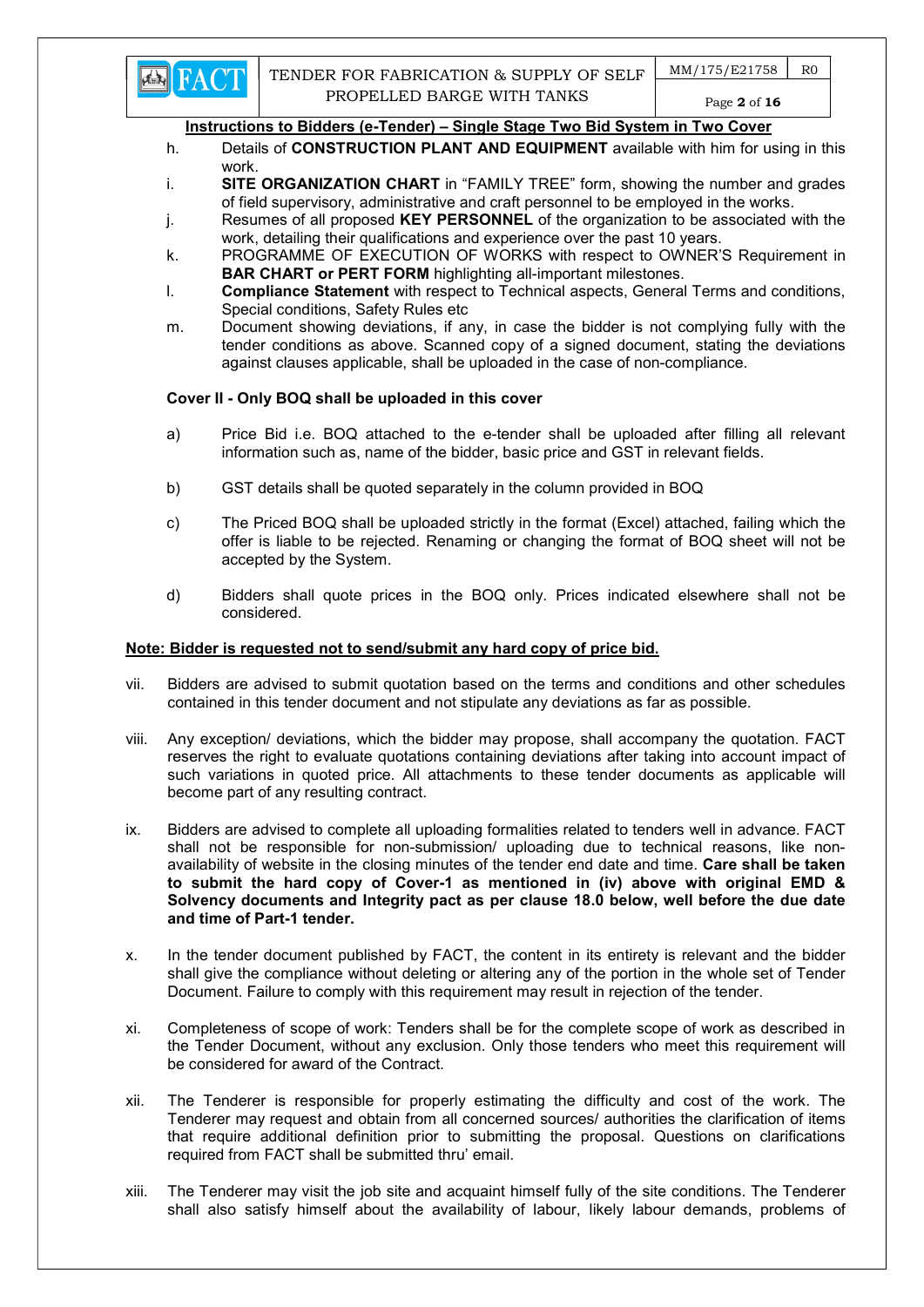

- h. Details of **CONSTRUCTION PLANT AND EQUIPMENT** available with him for using in this work.
- i. SITE ORGANIZATION CHART in "FAMILY TREE" form, showing the number and grades of field supervisory, administrative and craft personnel to be employed in the works.
- j. Resumes of all proposed KEY PERSONNEL of the organization to be associated with the work, detailing their qualifications and experience over the past 10 years.
- k. PROGRAMME OF EXECUTION OF WORKS with respect to OWNER'S Requirement in BAR CHART or PERT FORM highlighting all-important milestones.
- l. Compliance Statement with respect to Technical aspects, General Terms and conditions, Special conditions, Safety Rules etc
- m. Document showing deviations, if any, in case the bidder is not complying fully with the tender conditions as above. Scanned copy of a signed document, stating the deviations against clauses applicable, shall be uploaded in the case of non-compliance.

## Cover II - Only BOQ shall be uploaded in this cover

- a) Price Bid i.e. BOQ attached to the e-tender shall be uploaded after filling all relevant information such as, name of the bidder, basic price and GST in relevant fields.
- b) GST details shall be quoted separately in the column provided in BOQ
- c) The Priced BOQ shall be uploaded strictly in the format (Excel) attached, failing which the offer is liable to be rejected. Renaming or changing the format of BOQ sheet will not be accepted by the System.
- d) Bidders shall quote prices in the BOQ only. Prices indicated elsewhere shall not be considered.

## Note: Bidder is requested not to send/submit any hard copy of price bid.

- vii. Bidders are advised to submit quotation based on the terms and conditions and other schedules contained in this tender document and not stipulate any deviations as far as possible.
- viii. Any exception/ deviations, which the bidder may propose, shall accompany the quotation. FACT reserves the right to evaluate quotations containing deviations after taking into account impact of such variations in quoted price. All attachments to these tender documents as applicable will become part of any resulting contract.
- ix. Bidders are advised to complete all uploading formalities related to tenders well in advance. FACT shall not be responsible for non-submission/ uploading due to technical reasons, like nonavailability of website in the closing minutes of the tender end date and time. Care shall be taken to submit the hard copy of Cover-1 as mentioned in (iv) above with original EMD & Solvency documents and Integrity pact as per clause 18.0 below, well before the due date and time of Part-1 tender.
- x. In the tender document published by FACT, the content in its entirety is relevant and the bidder shall give the compliance without deleting or altering any of the portion in the whole set of Tender Document. Failure to comply with this requirement may result in rejection of the tender.
- xi. Completeness of scope of work: Tenders shall be for the complete scope of work as described in the Tender Document, without any exclusion. Only those tenders who meet this requirement will be considered for award of the Contract.
- xii. The Tenderer is responsible for properly estimating the difficulty and cost of the work. The Tenderer may request and obtain from all concerned sources/ authorities the clarification of items that require additional definition prior to submitting the proposal. Questions on clarifications required from FACT shall be submitted thru' email.
- xiii. The Tenderer may visit the job site and acquaint himself fully of the site conditions. The Tenderer shall also satisfy himself about the availability of labour, likely labour demands, problems of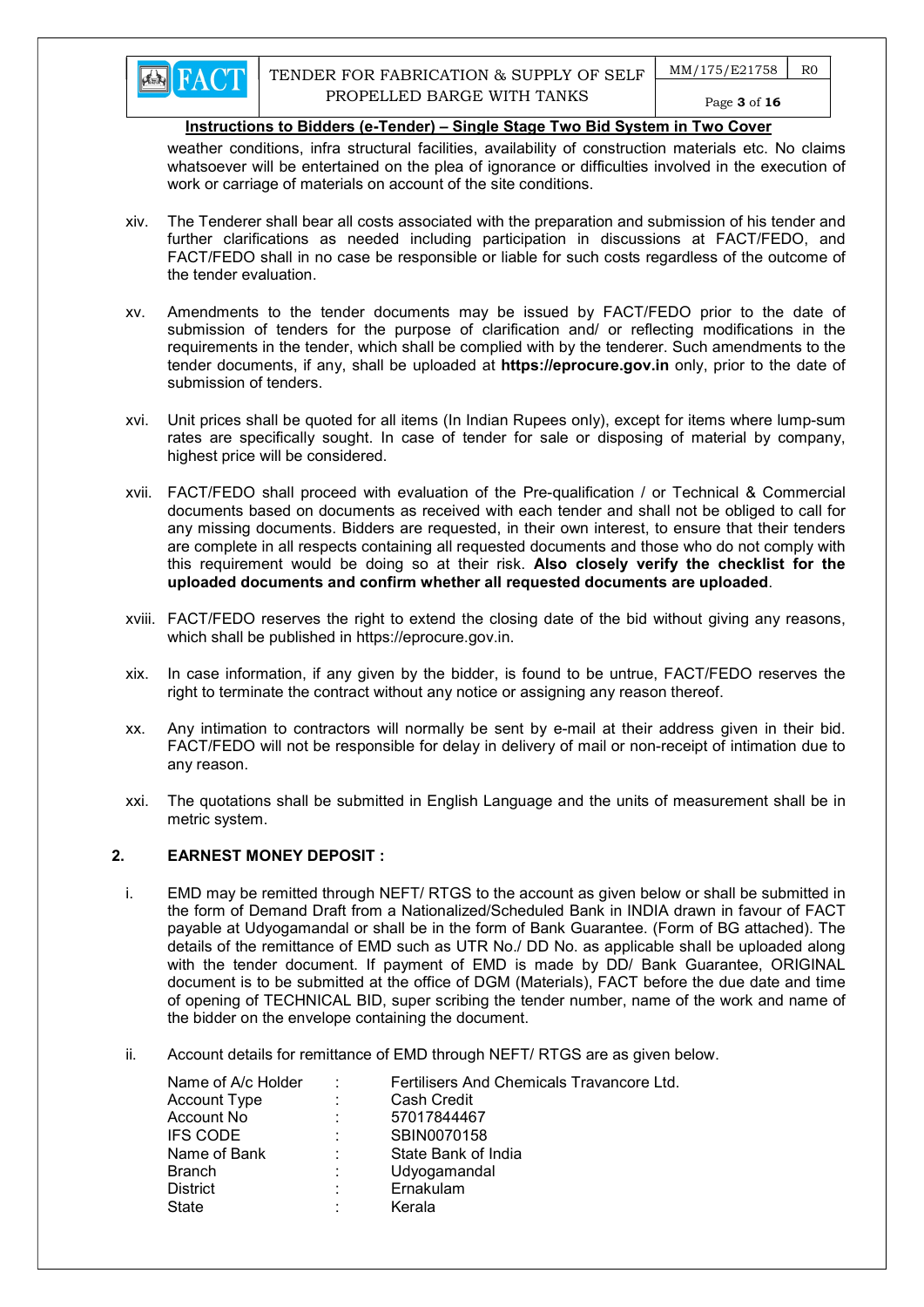

weather conditions, infra structural facilities, availability of construction materials etc. No claims whatsoever will be entertained on the plea of ignorance or difficulties involved in the execution of work or carriage of materials on account of the site conditions.

- xiv. The Tenderer shall bear all costs associated with the preparation and submission of his tender and further clarifications as needed including participation in discussions at FACT/FEDO, and FACT/FEDO shall in no case be responsible or liable for such costs regardless of the outcome of the tender evaluation.
- xv. Amendments to the tender documents may be issued by FACT/FEDO prior to the date of submission of tenders for the purpose of clarification and/ or reflecting modifications in the requirements in the tender, which shall be complied with by the tenderer. Such amendments to the tender documents, if any, shall be uploaded at https://eprocure.gov.in only, prior to the date of submission of tenders.
- xvi. Unit prices shall be quoted for all items (In Indian Rupees only), except for items where lump-sum rates are specifically sought. In case of tender for sale or disposing of material by company, highest price will be considered.
- xvii. FACT/FEDO shall proceed with evaluation of the Pre-qualification / or Technical & Commercial documents based on documents as received with each tender and shall not be obliged to call for any missing documents. Bidders are requested, in their own interest, to ensure that their tenders are complete in all respects containing all requested documents and those who do not comply with this requirement would be doing so at their risk. Also closely verify the checklist for the uploaded documents and confirm whether all requested documents are uploaded.
- xviii. FACT/FEDO reserves the right to extend the closing date of the bid without giving any reasons, which shall be published in https://eprocure.gov.in.
- xix. In case information, if any given by the bidder, is found to be untrue, FACT/FEDO reserves the right to terminate the contract without any notice or assigning any reason thereof.
- xx. Any intimation to contractors will normally be sent by e-mail at their address given in their bid. FACT/FEDO will not be responsible for delay in delivery of mail or non-receipt of intimation due to any reason.
- xxi. The quotations shall be submitted in English Language and the units of measurement shall be in metric system.

## 2. EARNEST MONEY DEPOSIT :

- i. EMD may be remitted through NEFT/ RTGS to the account as given below or shall be submitted in the form of Demand Draft from a Nationalized/Scheduled Bank in INDIA drawn in favour of FACT payable at Udyogamandal or shall be in the form of Bank Guarantee. (Form of BG attached). The details of the remittance of EMD such as UTR No./ DD No. as applicable shall be uploaded along with the tender document. If payment of EMD is made by DD/ Bank Guarantee, ORIGINAL document is to be submitted at the office of DGM (Materials), FACT before the due date and time of opening of TECHNICAL BID, super scribing the tender number, name of the work and name of the bidder on the envelope containing the document.
- ii. Account details for remittance of EMD through NEFT/ RTGS are as given below.

| Name of A/c Holder | ÷ | Fertilisers And Chemicals Travancore Ltd. |  |  |
|--------------------|---|-------------------------------------------|--|--|
| Account Type       | ÷ | Cash Credit                               |  |  |
| Account No         | ÷ | 57017844467                               |  |  |
| <b>IFS CODE</b>    | ÷ | SBIN0070158                               |  |  |
| Name of Bank       | ٠ | State Bank of India                       |  |  |
| <b>Branch</b>      | ÷ | Udyogamandal                              |  |  |
| <b>District</b>    | ÷ | Ernakulam                                 |  |  |
| State              |   | Kerala                                    |  |  |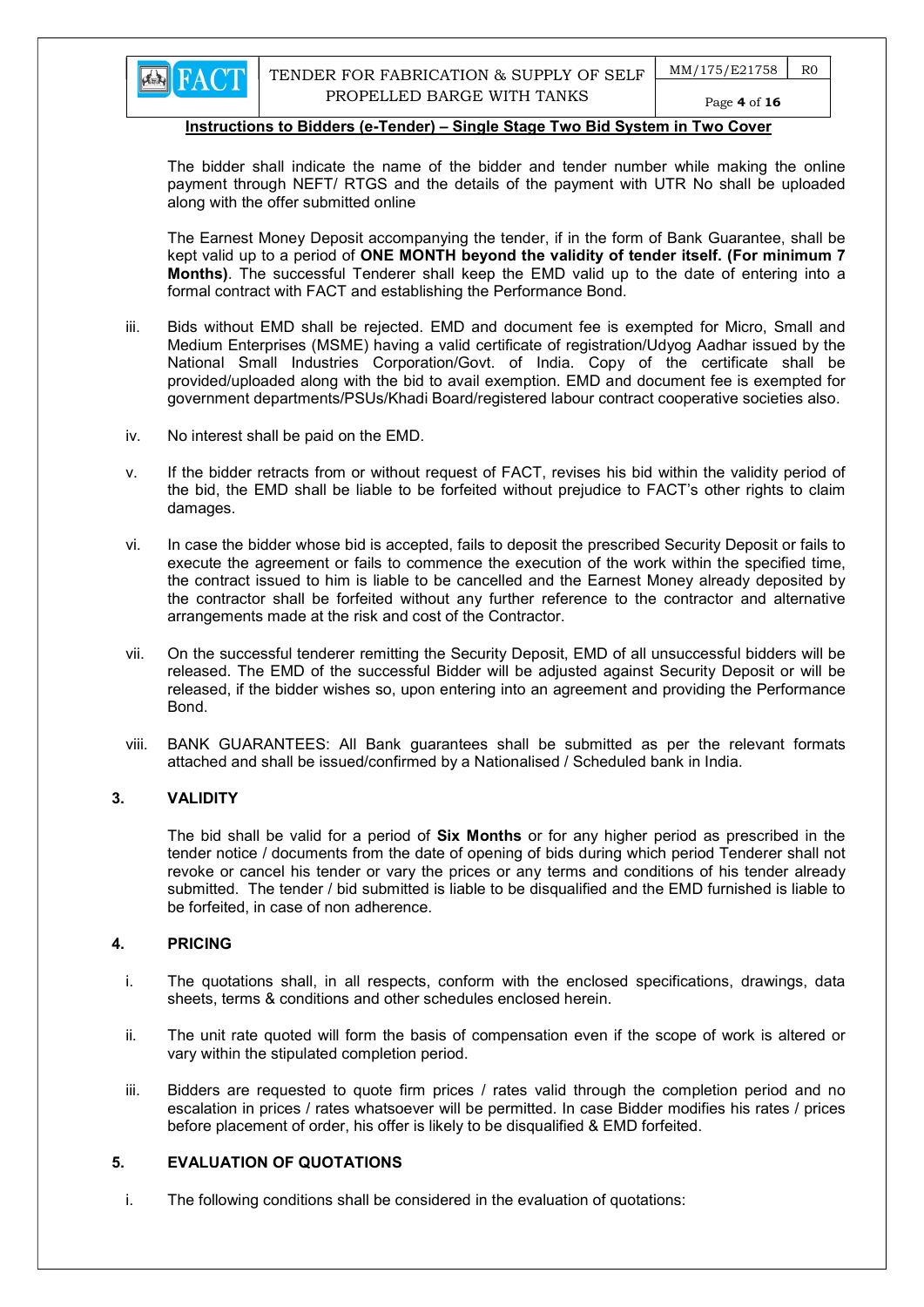

# Page 4 of 16

#### Instructions to Bidders (e-Tender) – Single Stage Two Bid System in Two Cover

The bidder shall indicate the name of the bidder and tender number while making the online payment through NEFT/ RTGS and the details of the payment with UTR No shall be uploaded along with the offer submitted online

The Earnest Money Deposit accompanying the tender, if in the form of Bank Guarantee, shall be kept valid up to a period of ONE MONTH beyond the validity of tender itself. (For minimum 7 Months). The successful Tenderer shall keep the EMD valid up to the date of entering into a formal contract with FACT and establishing the Performance Bond.

- iii. Bids without EMD shall be rejected. EMD and document fee is exempted for Micro, Small and Medium Enterprises (MSME) having a valid certificate of registration/Udyog Aadhar issued by the National Small Industries Corporation/Govt. of India. Copy of the certificate shall be provided/uploaded along with the bid to avail exemption. EMD and document fee is exempted for government departments/PSUs/Khadi Board/registered labour contract cooperative societies also.
- iv. No interest shall be paid on the EMD.
- v. If the bidder retracts from or without request of FACT, revises his bid within the validity period of the bid, the EMD shall be liable to be forfeited without prejudice to FACT's other rights to claim damages.
- vi. In case the bidder whose bid is accepted, fails to deposit the prescribed Security Deposit or fails to execute the agreement or fails to commence the execution of the work within the specified time, the contract issued to him is liable to be cancelled and the Earnest Money already deposited by the contractor shall be forfeited without any further reference to the contractor and alternative arrangements made at the risk and cost of the Contractor.
- vii. On the successful tenderer remitting the Security Deposit, EMD of all unsuccessful bidders will be released. The EMD of the successful Bidder will be adjusted against Security Deposit or will be released, if the bidder wishes so, upon entering into an agreement and providing the Performance Bond.
- viii. BANK GUARANTEES: All Bank guarantees shall be submitted as per the relevant formats attached and shall be issued/confirmed by a Nationalised / Scheduled bank in India.

#### 3. VALIDITY

The bid shall be valid for a period of **Six Months** or for any higher period as prescribed in the tender notice / documents from the date of opening of bids during which period Tenderer shall not revoke or cancel his tender or vary the prices or any terms and conditions of his tender already submitted. The tender / bid submitted is liable to be disqualified and the EMD furnished is liable to be forfeited, in case of non adherence.

#### 4. PRICING

- i. The quotations shall, in all respects, conform with the enclosed specifications, drawings, data sheets, terms & conditions and other schedules enclosed herein.
- ii. The unit rate quoted will form the basis of compensation even if the scope of work is altered or vary within the stipulated completion period.
- iii. Bidders are requested to quote firm prices / rates valid through the completion period and no escalation in prices / rates whatsoever will be permitted. In case Bidder modifies his rates / prices before placement of order, his offer is likely to be disqualified & EMD forfeited.

## 5. EVALUATION OF QUOTATIONS

i. The following conditions shall be considered in the evaluation of quotations: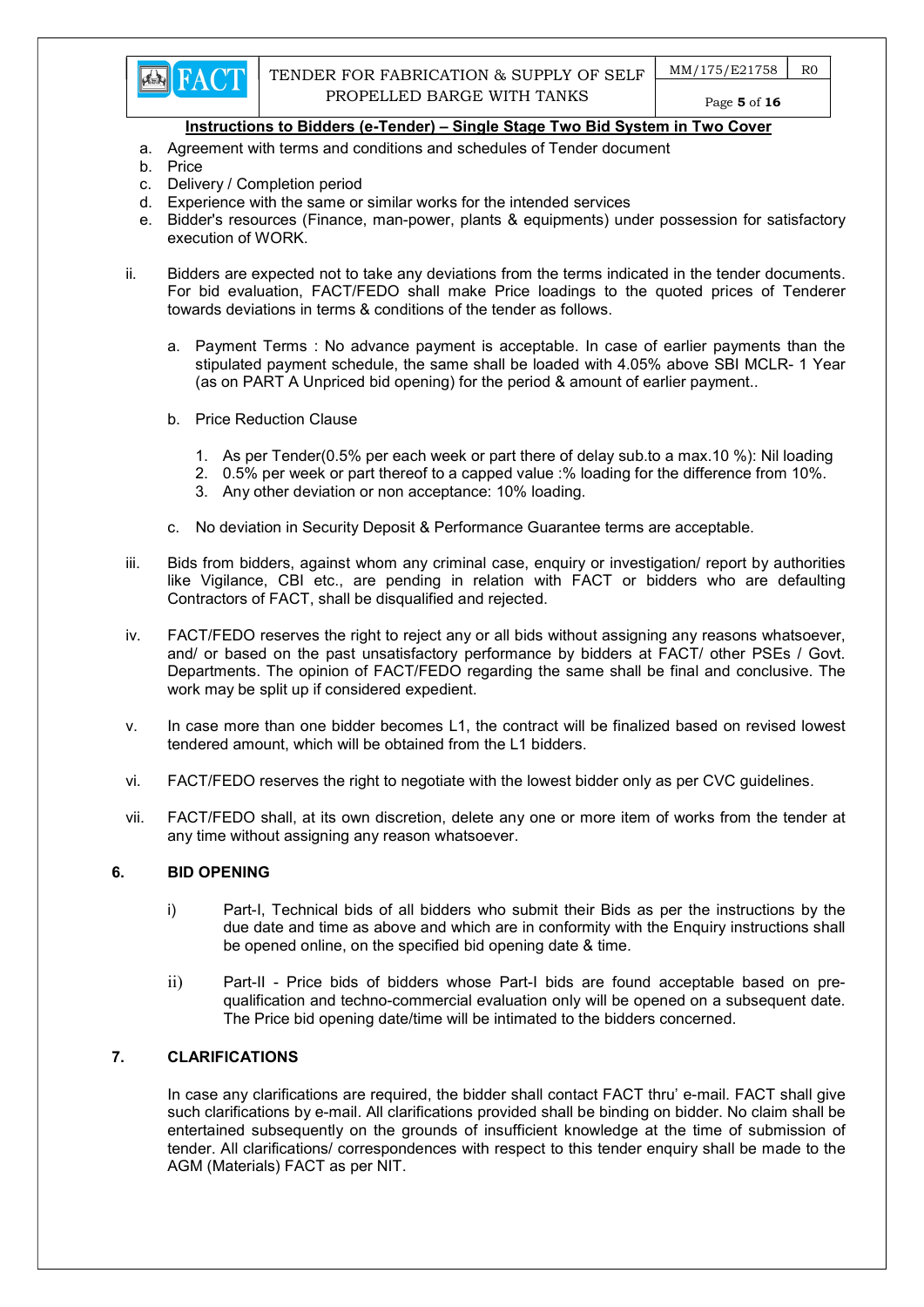- a. Agreement with terms and conditions and schedules of Tender document
- b. Price
- c. Delivery / Completion period
- d. Experience with the same or similar works for the intended services
- e. Bidder's resources (Finance, man-power, plants & equipments) under possession for satisfactory execution of WORK.
- ii. Bidders are expected not to take any deviations from the terms indicated in the tender documents. For bid evaluation, FACT/FEDO shall make Price loadings to the quoted prices of Tenderer towards deviations in terms & conditions of the tender as follows.
	- a. Payment Terms : No advance payment is acceptable. In case of earlier payments than the stipulated payment schedule, the same shall be loaded with 4.05% above SBI MCLR- 1 Year (as on PART A Unpriced bid opening) for the period & amount of earlier payment..
	- b. Price Reduction Clause
		- 1. As per Tender(0.5% per each week or part there of delay sub.to a max.10 %): Nil loading
		- 2. 0.5% per week or part thereof to a capped value :% loading for the difference from 10%.
		- 3. Any other deviation or non acceptance: 10% loading.
	- c. No deviation in Security Deposit & Performance Guarantee terms are acceptable.
- iii. Bids from bidders, against whom any criminal case, enquiry or investigation/ report by authorities like Vigilance, CBI etc., are pending in relation with FACT or bidders who are defaulting Contractors of FACT, shall be disqualified and rejected.
- iv. FACT/FEDO reserves the right to reject any or all bids without assigning any reasons whatsoever, and/ or based on the past unsatisfactory performance by bidders at FACT/ other PSEs / Govt. Departments. The opinion of FACT/FEDO regarding the same shall be final and conclusive. The work may be split up if considered expedient.
- v. In case more than one bidder becomes L1, the contract will be finalized based on revised lowest tendered amount, which will be obtained from the L1 bidders.
- vi. FACT/FEDO reserves the right to negotiate with the lowest bidder only as per CVC guidelines.
- vii. FACT/FEDO shall, at its own discretion, delete any one or more item of works from the tender at any time without assigning any reason whatsoever.

## 6. BID OPENING

- i) Part-I, Technical bids of all bidders who submit their Bids as per the instructions by the due date and time as above and which are in conformity with the Enquiry instructions shall be opened online, on the specified bid opening date & time.
- ii) Part-II Price bids of bidders whose Part-I bids are found acceptable based on prequalification and techno-commercial evaluation only will be opened on a subsequent date. The Price bid opening date/time will be intimated to the bidders concerned.

# 7. CLARIFICATIONS

In case any clarifications are required, the bidder shall contact FACT thru' e-mail. FACT shall give such clarifications by e-mail. All clarifications provided shall be binding on bidder. No claim shall be entertained subsequently on the grounds of insufficient knowledge at the time of submission of tender. All clarifications/ correspondences with respect to this tender enquiry shall be made to the AGM (Materials) FACT as per NIT.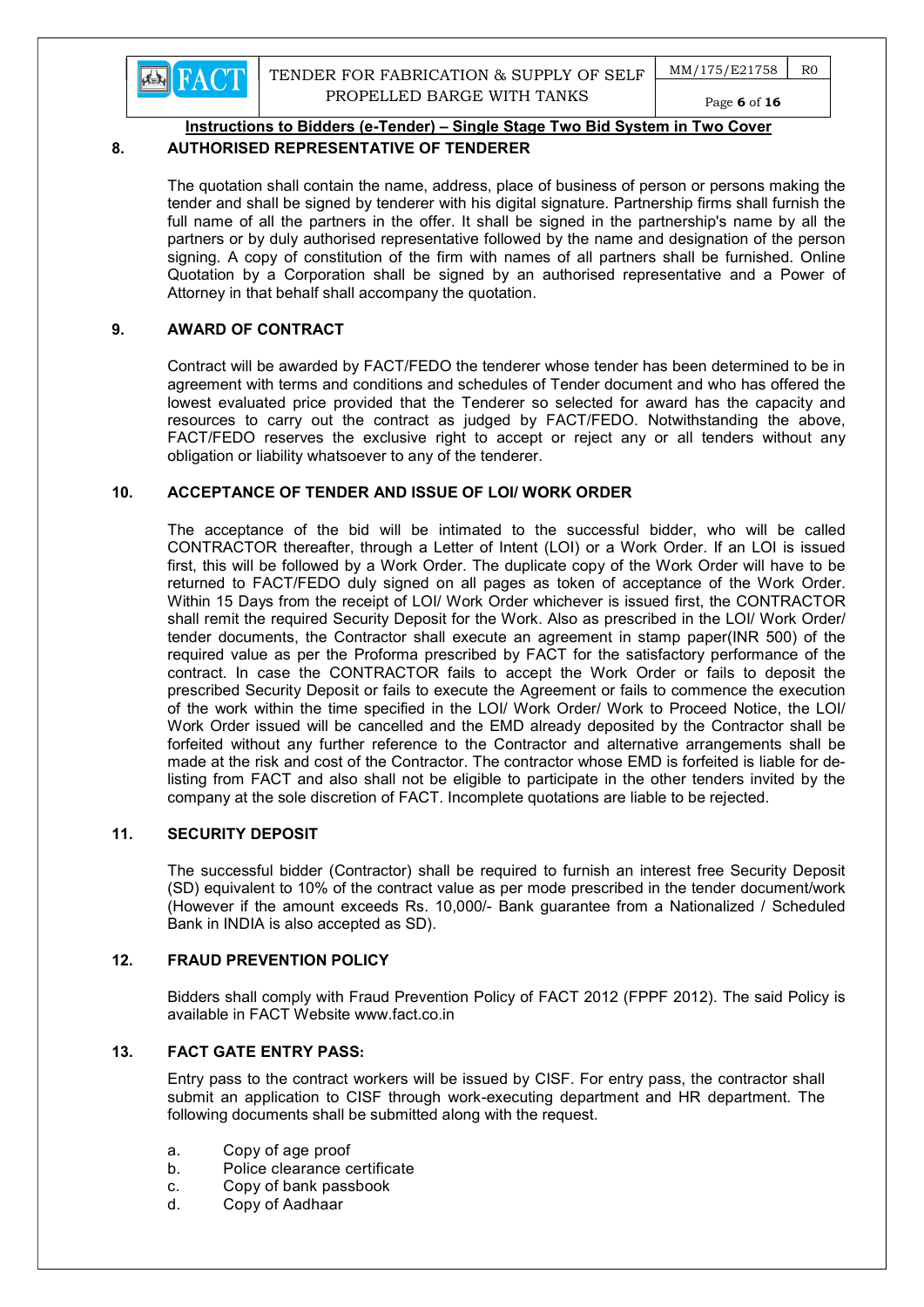

 $MM/175/E21758$  RO Page 6 of 16

## Instructions to Bidders (e-Tender) – Single Stage Two Bid System in Two Cover

## 8. AUTHORISED REPRESENTATIVE OF TENDERER

The quotation shall contain the name, address, place of business of person or persons making the tender and shall be signed by tenderer with his digital signature. Partnership firms shall furnish the full name of all the partners in the offer. It shall be signed in the partnership's name by all the partners or by duly authorised representative followed by the name and designation of the person signing. A copy of constitution of the firm with names of all partners shall be furnished. Online Quotation by a Corporation shall be signed by an authorised representative and a Power of Attorney in that behalf shall accompany the quotation.

## 9. AWARD OF CONTRACT

Contract will be awarded by FACT/FEDO the tenderer whose tender has been determined to be in agreement with terms and conditions and schedules of Tender document and who has offered the lowest evaluated price provided that the Tenderer so selected for award has the capacity and resources to carry out the contract as judged by FACT/FEDO. Notwithstanding the above, FACT/FEDO reserves the exclusive right to accept or reject any or all tenders without any obligation or liability whatsoever to any of the tenderer.

## 10. ACCEPTANCE OF TENDER AND ISSUE OF LOI/ WORK ORDER

The acceptance of the bid will be intimated to the successful bidder, who will be called CONTRACTOR thereafter, through a Letter of Intent (LOI) or a Work Order. If an LOI is issued first, this will be followed by a Work Order. The duplicate copy of the Work Order will have to be returned to FACT/FEDO duly signed on all pages as token of acceptance of the Work Order. Within 15 Days from the receipt of LOI/ Work Order whichever is issued first, the CONTRACTOR shall remit the required Security Deposit for the Work. Also as prescribed in the LOI/ Work Order/ tender documents, the Contractor shall execute an agreement in stamp paper(INR 500) of the required value as per the Proforma prescribed by FACT for the satisfactory performance of the contract. In case the CONTRACTOR fails to accept the Work Order or fails to deposit the prescribed Security Deposit or fails to execute the Agreement or fails to commence the execution of the work within the time specified in the LOI/ Work Order/ Work to Proceed Notice, the LOI/ Work Order issued will be cancelled and the EMD already deposited by the Contractor shall be forfeited without any further reference to the Contractor and alternative arrangements shall be made at the risk and cost of the Contractor. The contractor whose EMD is forfeited is liable for delisting from FACT and also shall not be eligible to participate in the other tenders invited by the company at the sole discretion of FACT. Incomplete quotations are liable to be rejected.

## 11. SECURITY DEPOSIT

The successful bidder (Contractor) shall be required to furnish an interest free Security Deposit (SD) equivalent to 10% of the contract value as per mode prescribed in the tender document/work (However if the amount exceeds Rs. 10,000/- Bank guarantee from a Nationalized / Scheduled Bank in INDIA is also accepted as SD).

## 12. FRAUD PREVENTION POLICY

Bidders shall comply with Fraud Prevention Policy of FACT 2012 (FPPF 2012). The said Policy is available in FACT Website www.fact.co.in

# 13. FACT GATE ENTRY PASS:

Entry pass to the contract workers will be issued by CISF. For entry pass, the contractor shall submit an application to CISF through work-executing department and HR department. The following documents shall be submitted along with the request.

- a. Copy of age proof
- b. Police clearance certificate
- c. Copy of bank passbook
- d. Copy of Aadhaar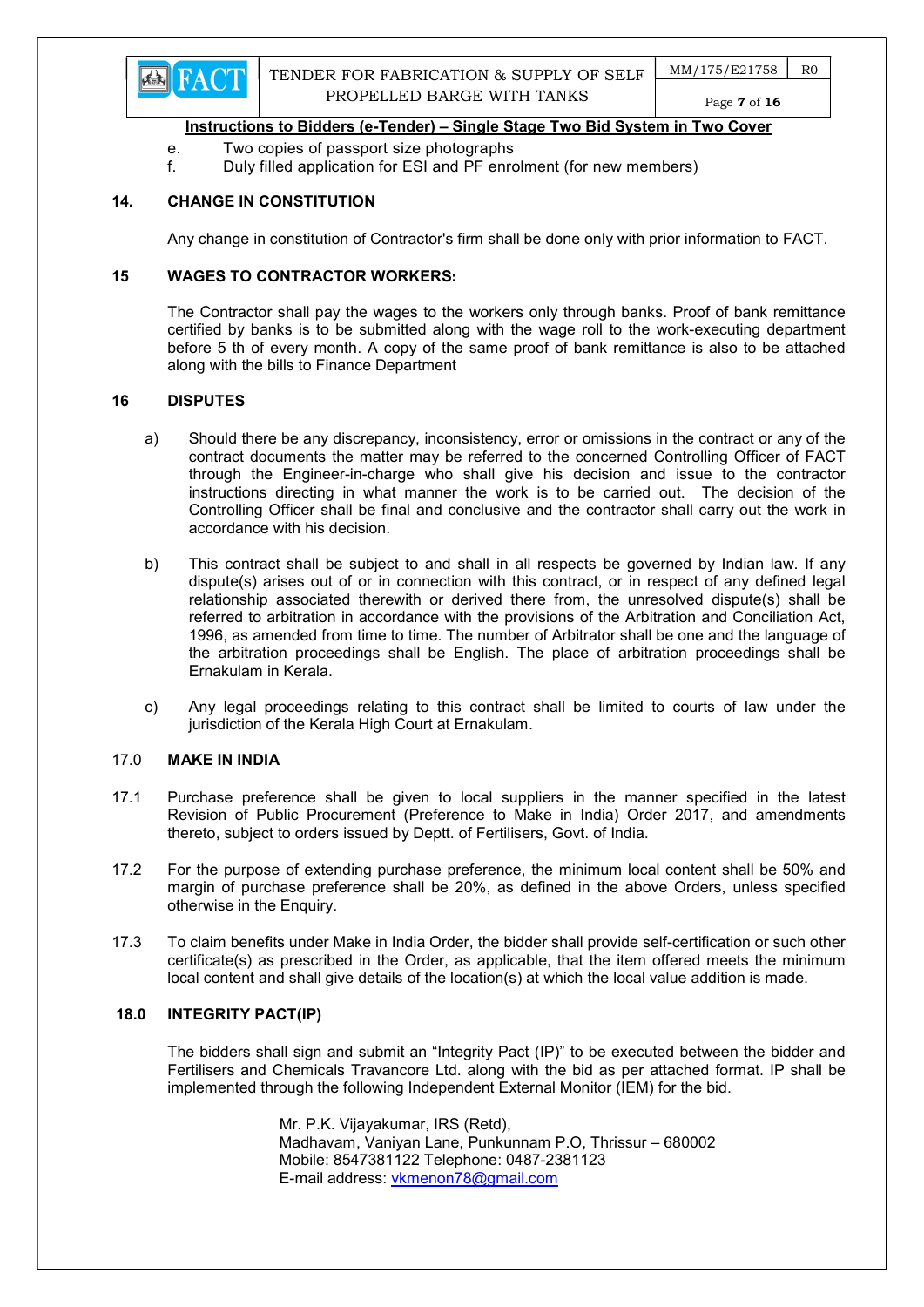

Page 7 of 16

## Instructions to Bidders (e-Tender) – Single Stage Two Bid System in Two Cover

- e. Two copies of passport size photographs
- f. Duly filled application for ESI and PF enrolment (for new members)

## 14. CHANGE IN CONSTITUTION

Any change in constitution of Contractor's firm shall be done only with prior information to FACT.

## 15 WAGES TO CONTRACTOR WORKERS:

The Contractor shall pay the wages to the workers only through banks. Proof of bank remittance certified by banks is to be submitted along with the wage roll to the work-executing department before 5 th of every month. A copy of the same proof of bank remittance is also to be attached along with the bills to Finance Department

#### 16 DISPUTES

- a) Should there be any discrepancy, inconsistency, error or omissions in the contract or any of the contract documents the matter may be referred to the concerned Controlling Officer of FACT through the Engineer-in-charge who shall give his decision and issue to the contractor instructions directing in what manner the work is to be carried out. The decision of the Controlling Officer shall be final and conclusive and the contractor shall carry out the work in accordance with his decision.
- b) This contract shall be subject to and shall in all respects be governed by Indian law. If any dispute(s) arises out of or in connection with this contract, or in respect of any defined legal relationship associated therewith or derived there from, the unresolved dispute(s) shall be referred to arbitration in accordance with the provisions of the Arbitration and Conciliation Act, 1996, as amended from time to time. The number of Arbitrator shall be one and the language of the arbitration proceedings shall be English. The place of arbitration proceedings shall be Ernakulam in Kerala.
- c) Any legal proceedings relating to this contract shall be limited to courts of law under the jurisdiction of the Kerala High Court at Ernakulam.

## 17.0 MAKE IN INDIA

- 17.1 Purchase preference shall be given to local suppliers in the manner specified in the latest Revision of Public Procurement (Preference to Make in India) Order 2017, and amendments thereto, subject to orders issued by Deptt. of Fertilisers, Govt. of India.
- 17.2 For the purpose of extending purchase preference, the minimum local content shall be 50% and margin of purchase preference shall be 20%, as defined in the above Orders, unless specified otherwise in the Enquiry.
- 17.3 To claim benefits under Make in India Order, the bidder shall provide self-certification or such other certificate(s) as prescribed in the Order, as applicable, that the item offered meets the minimum local content and shall give details of the location(s) at which the local value addition is made.

### 18.0 INTEGRITY PACT(IP)

The bidders shall sign and submit an "Integrity Pact (IP)" to be executed between the bidder and Fertilisers and Chemicals Travancore Ltd. along with the bid as per attached format. IP shall be implemented through the following Independent External Monitor (IEM) for the bid.

> Mr. P.K. Vijayakumar, IRS (Retd), Madhavam, Vaniyan Lane, Punkunnam P.O, Thrissur – 680002 Mobile: 8547381122 Telephone: 0487-2381123 E-mail address: vkmenon78@gmail.com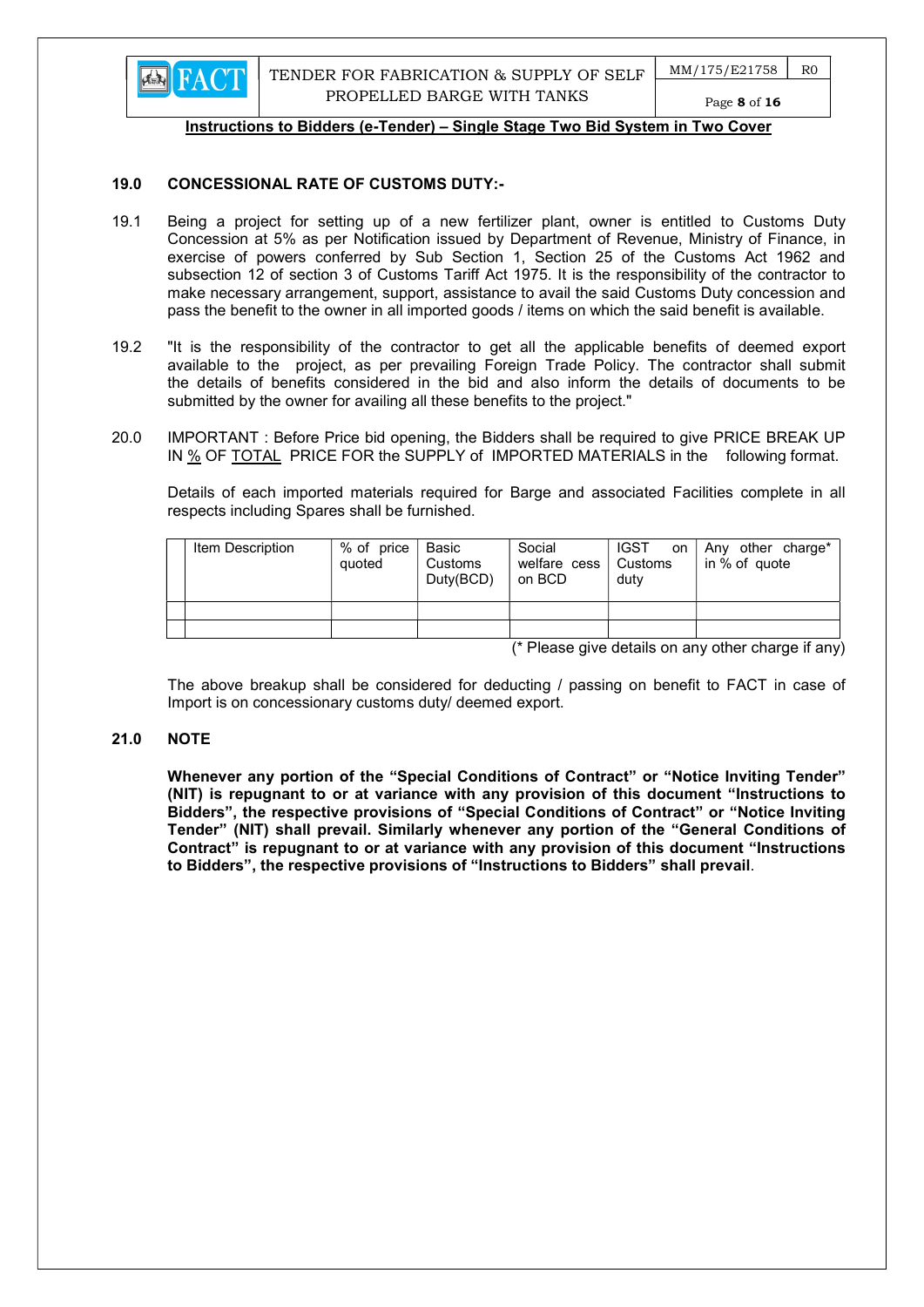

Page 8 of 16

#### Instructions to Bidders (e-Tender) – Single Stage Two Bid System in Two Cover

## 19.0 CONCESSIONAL RATE OF CUSTOMS DUTY:-

- 19.1 Being a project for setting up of a new fertilizer plant, owner is entitled to Customs Duty Concession at 5% as per Notification issued by Department of Revenue, Ministry of Finance, in exercise of powers conferred by Sub Section 1, Section 25 of the Customs Act 1962 and subsection 12 of section 3 of Customs Tariff Act 1975. It is the responsibility of the contractor to make necessary arrangement, support, assistance to avail the said Customs Duty concession and pass the benefit to the owner in all imported goods / items on which the said benefit is available.
- 19.2 "It is the responsibility of the contractor to get all the applicable benefits of deemed export available to the project, as per prevailing Foreign Trade Policy. The contractor shall submit the details of benefits considered in the bid and also inform the details of documents to be submitted by the owner for availing all these benefits to the project."
- 20.0 IMPORTANT : Before Price bid opening, the Bidders shall be required to give PRICE BREAK UP IN % OF TOTAL PRICE FOR the SUPPLY of IMPORTED MATERIALS in the following format.

 Details of each imported materials required for Barge and associated Facilities complete in all respects including Spares shall be furnished.

| Item Description | % of price<br>quoted | Basic<br>Customs<br>Duty(BCD) | Social<br>welfare cess   Customs<br>on BCD | <b>IGST</b><br><b>on</b><br>duty | Any other charge*<br>in % of quote |
|------------------|----------------------|-------------------------------|--------------------------------------------|----------------------------------|------------------------------------|
|                  |                      |                               |                                            |                                  |                                    |
|                  |                      |                               |                                            |                                  |                                    |
|                  |                      |                               | $\sim$                                     | .                                | $\cdot$ $\cdot$<br>.               |

(\* Please give details on any other charge if any)

 The above breakup shall be considered for deducting / passing on benefit to FACT in case of Import is on concessionary customs duty/ deemed export.

### 21.0 NOTE

Whenever any portion of the "Special Conditions of Contract" or "Notice Inviting Tender" (NIT) is repugnant to or at variance with any provision of this document "Instructions to Bidders", the respective provisions of "Special Conditions of Contract" or "Notice Inviting Tender" (NIT) shall prevail. Similarly whenever any portion of the "General Conditions of Contract" is repugnant to or at variance with any provision of this document "Instructions to Bidders", the respective provisions of "Instructions to Bidders" shall prevail.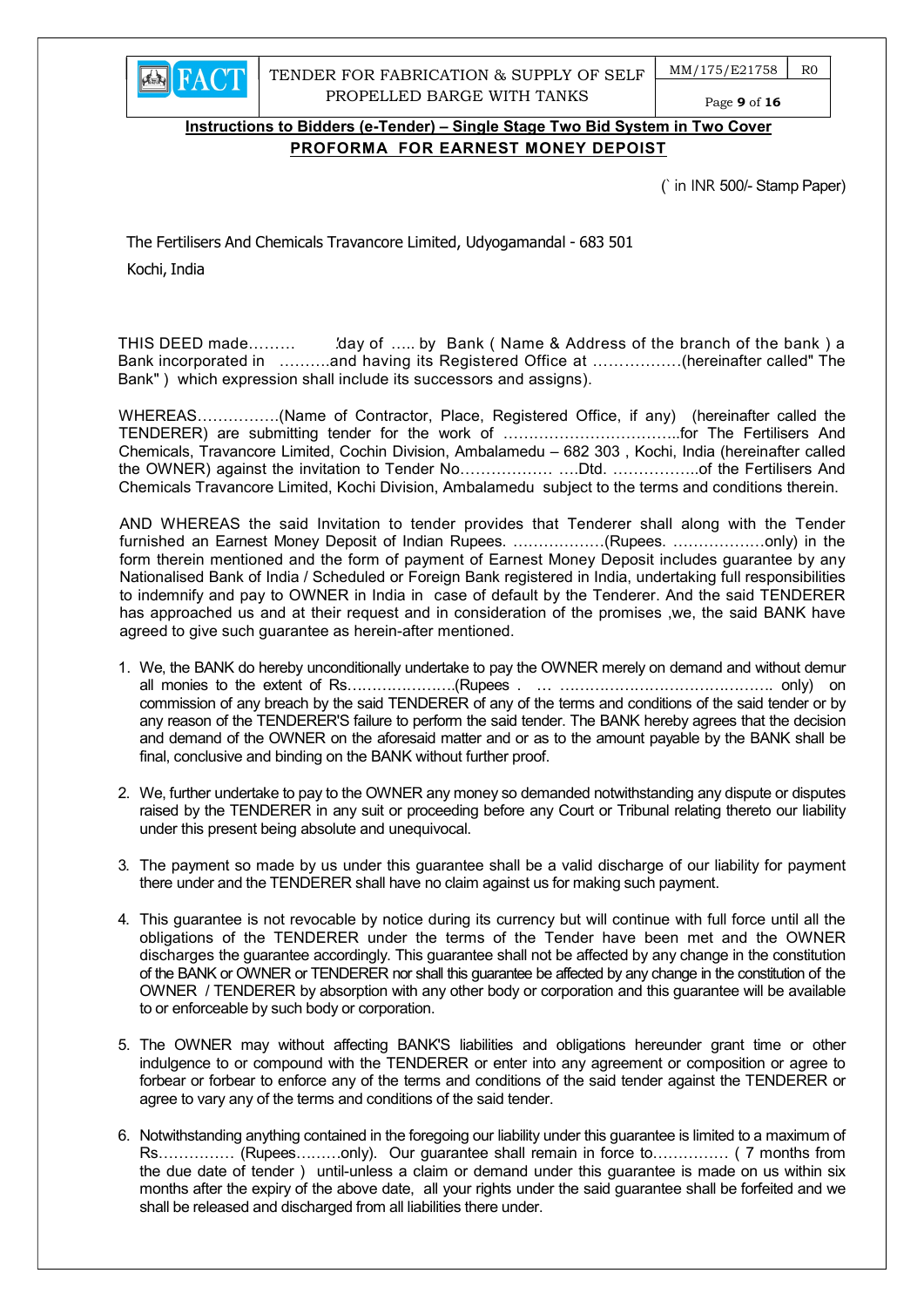

TENDER FOR FABRICATION & SUPPLY OF SELF PROPELLED BARGE WITH TANKS

 $MM/175/E21758$  RO

Page 9 of 16

# Instructions to Bidders (e-Tender) – Single Stage Two Bid System in Two Cover PROFORMA FOR EARNEST MONEY DEPOIST

(` in INR 500/- Stamp Paper)

The Fertilisers And Chemicals Travancore Limited, Udyogamandal - 683 501 Kochi, India

THIS DEED made……… 'day of ….. by Bank (Name & Address of the branch of the bank) a Bank incorporated in ……….and having its Registered Office at ………….….(hereinafter called" The Bank" ) which expression shall include its successors and assigns).

WHEREAS…………….(Name of Contractor, Place, Registered Office, if any) (hereinafter called the TENDERER) are submitting tender for the work of ……………………………..for The Fertilisers And Chemicals, Travancore Limited, Cochin Division, Ambalamedu – 682 303 , Kochi, India (hereinafter called the OWNER) against the invitation to Tender No……………… ….Dtd. ……………..of the Fertilisers And Chemicals Travancore Limited, Kochi Division, Ambalamedu subject to the terms and conditions therein.

AND WHEREAS the said Invitation to tender provides that Tenderer shall along with the Tender furnished an Earnest Money Deposit of Indian Rupees. ………………(Rupees. ………………only) in the form therein mentioned and the form of payment of Earnest Money Deposit includes guarantee by any Nationalised Bank of India / Scheduled or Foreign Bank registered in India, undertaking full responsibilities to indemnify and pay to OWNER in India in case of default by the Tenderer. And the said TENDERER has approached us and at their request and in consideration of the promises ,we, the said BANK have agreed to give such guarantee as herein-after mentioned.

- 1. We, the BANK do hereby unconditionally undertake to pay the OWNER merely on demand and without demur all monies to the extent of Rs………………….(Rupees . … ……………………………………. only) on commission of any breach by the said TENDERER of any of the terms and conditions of the said tender or by any reason of the TENDERER'S failure to perform the said tender. The BANK hereby agrees that the decision and demand of the OWNER on the aforesaid matter and or as to the amount payable by the BANK shall be final, conclusive and binding on the BANK without further proof.
- 2. We, further undertake to pay to the OWNER any money so demanded notwithstanding any dispute or disputes raised by the TENDERER in any suit or proceeding before any Court or Tribunal relating thereto our liability under this present being absolute and unequivocal.
- 3. The payment so made by us under this guarantee shall be a valid discharge of our liability for payment there under and the TENDERER shall have no claim against us for making such payment.
- 4. This guarantee is not revocable by notice during its currency but will continue with full force until all the obligations of the TENDERER under the terms of the Tender have been met and the OWNER discharges the guarantee accordingly. This guarantee shall not be affected by any change in the constitution of the BANK or OWNER or TENDERER nor shall this guarantee be affected by any change in the constitution of the OWNER / TENDERER by absorption with any other body or corporation and this guarantee will be available to or enforceable by such body or corporation.
- 5. The OWNER may without affecting BANK'S liabilities and obligations hereunder grant time or other indulgence to or compound with the TENDERER or enter into any agreement or composition or agree to forbear or forbear to enforce any of the terms and conditions of the said tender against the TENDERER or agree to vary any of the terms and conditions of the said tender.
- 6. Notwithstanding anything contained in the foregoing our liability under this guarantee is limited to a maximum of Rs…………… (Rupees………only). Our guarantee shall remain in force to…………… ( 7 months from the due date of tender ) until-unless a claim or demand under this guarantee is made on us within six months after the expiry of the above date, all your rights under the said guarantee shall be forfeited and we shall be released and discharged from all liabilities there under.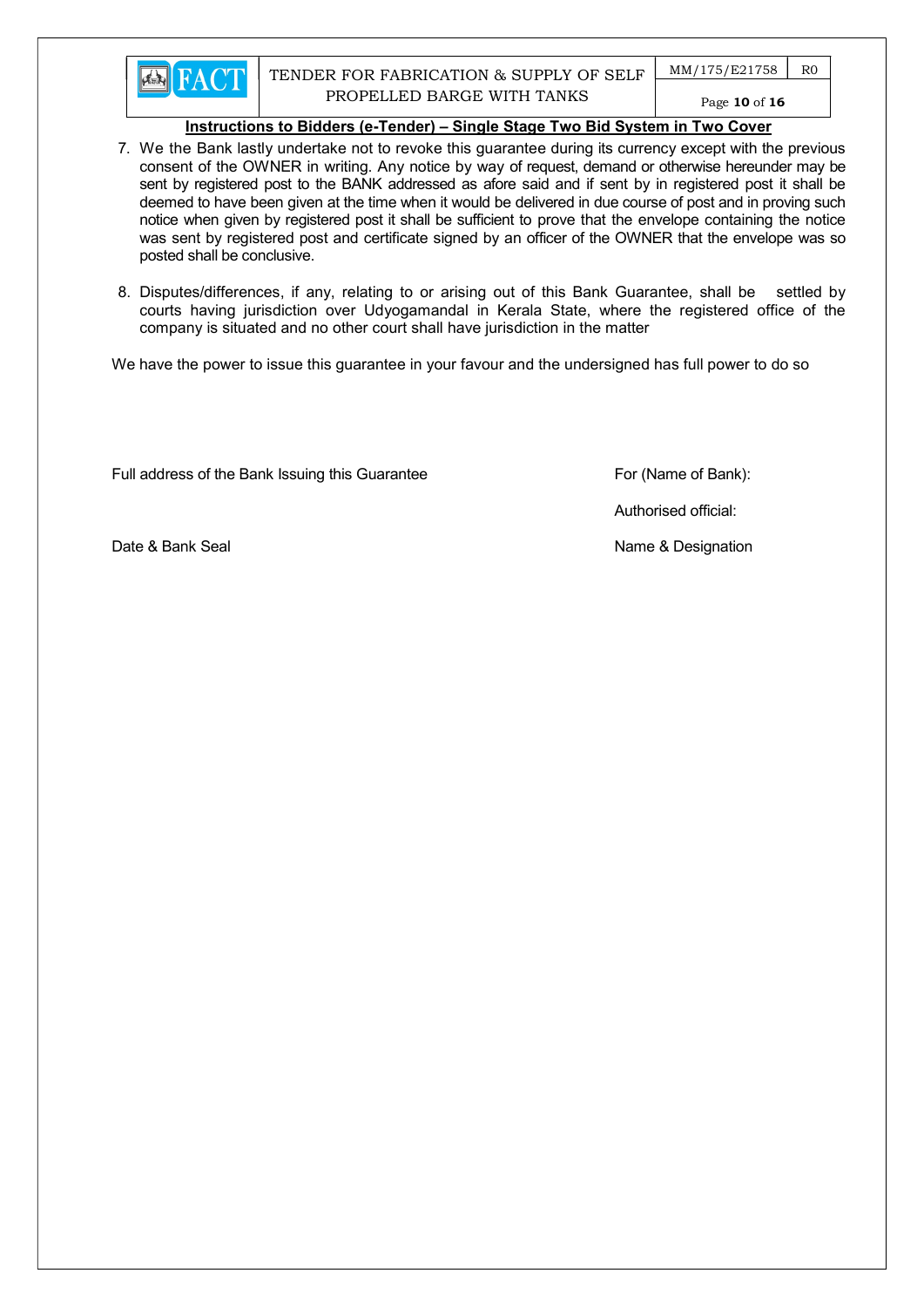

- 7. We the Bank lastly undertake not to revoke this guarantee during its currency except with the previous consent of the OWNER in writing. Any notice by way of request, demand or otherwise hereunder may be sent by registered post to the BANK addressed as afore said and if sent by in registered post it shall be deemed to have been given at the time when it would be delivered in due course of post and in proving such notice when given by registered post it shall be sufficient to prove that the envelope containing the notice was sent by registered post and certificate signed by an officer of the OWNER that the envelope was so posted shall be conclusive.
- 8. Disputes/differences, if any, relating to or arising out of this Bank Guarantee, shall be settled by courts having jurisdiction over Udyogamandal in Kerala State, where the registered office of the company is situated and no other court shall have jurisdiction in the matter

We have the power to issue this guarantee in your favour and the undersigned has full power to do so

Full address of the Bank Issuing this Guarantee For (Name of Bank):

Authorised official:

Date & Bank Seal Name & Designation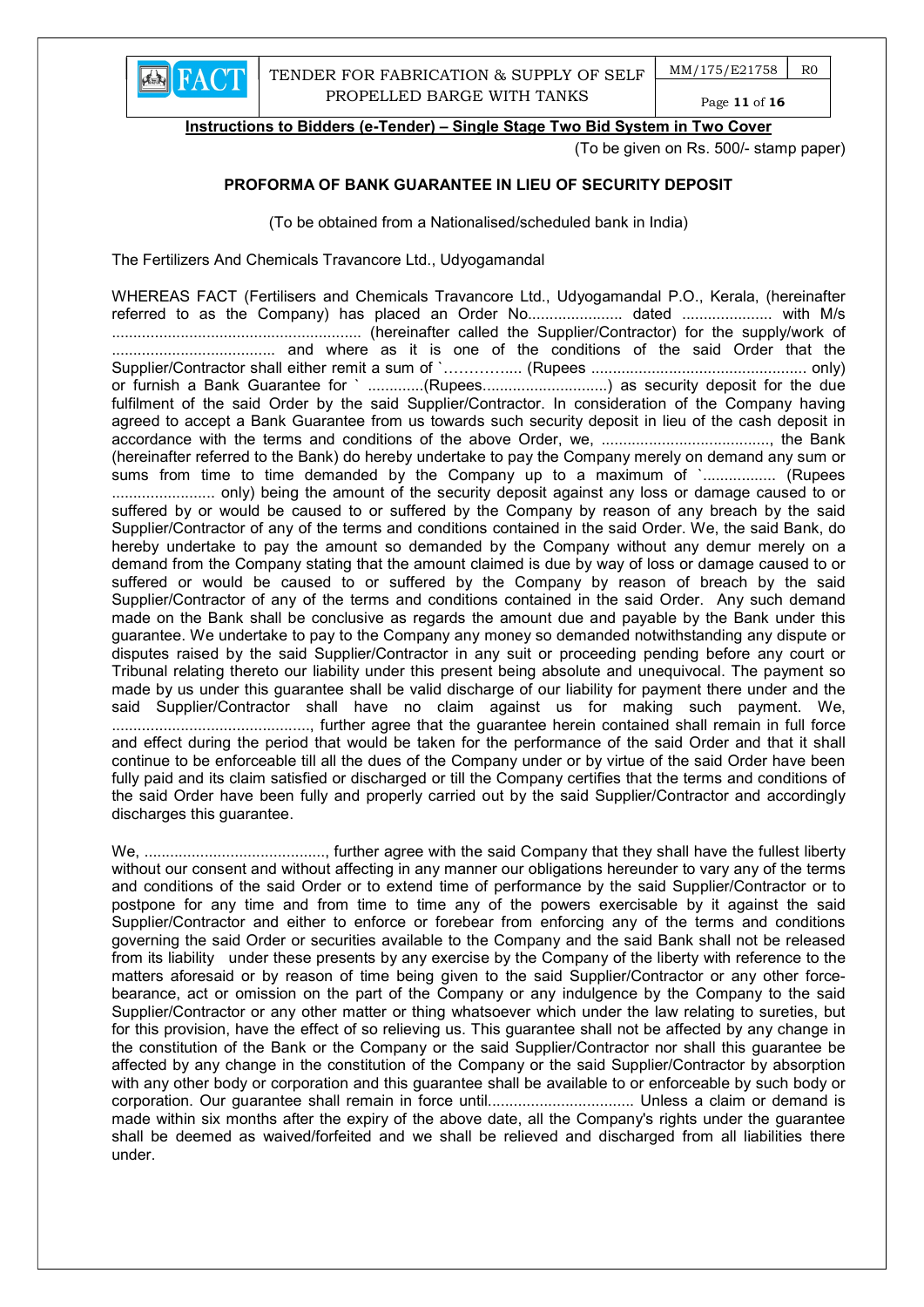

Page 11 of 16

Instructions to Bidders (e-Tender) – Single Stage Two Bid System in Two Cover

(To be given on Rs. 500/- stamp paper)

## PROFORMA OF BANK GUARANTEE IN LIEU OF SECURITY DEPOSIT

(To be obtained from a Nationalised/scheduled bank in India)

The Fertilizers And Chemicals Travancore Ltd., Udyogamandal

WHEREAS FACT (Fertilisers and Chemicals Travancore Ltd., Udyogamandal P.O., Kerala, (hereinafter referred to as the Company) has placed an Order No......................... dated ........................... with M/s .......................................................... (hereinafter called the Supplier/Contractor) for the supply/work of ...................................... and where as it is one of the conditions of the said Order that the Supplier/Contractor shall either remit a sum of `………….... (Rupees .................................................. only) or furnish a Bank Guarantee for ` ..............(Rupees................................) as security deposit for the due fulfilment of the said Order by the said Supplier/Contractor. In consideration of the Company having agreed to accept a Bank Guarantee from us towards such security deposit in lieu of the cash deposit in accordance with the terms and conditions of the above Order, we, ......................................., the Bank (hereinafter referred to the Bank) do hereby undertake to pay the Company merely on demand any sum or sums from time to time demanded by the Company up to a maximum of `................. (Rupees ........................ only) being the amount of the security deposit against any loss or damage caused to or suffered by or would be caused to or suffered by the Company by reason of any breach by the said Supplier/Contractor of any of the terms and conditions contained in the said Order. We, the said Bank, do hereby undertake to pay the amount so demanded by the Company without any demur merely on a demand from the Company stating that the amount claimed is due by way of loss or damage caused to or suffered or would be caused to or suffered by the Company by reason of breach by the said Supplier/Contractor of any of the terms and conditions contained in the said Order. Any such demand made on the Bank shall be conclusive as regards the amount due and payable by the Bank under this guarantee. We undertake to pay to the Company any money so demanded notwithstanding any dispute or disputes raised by the said Supplier/Contractor in any suit or proceeding pending before any court or Tribunal relating thereto our liability under this present being absolute and unequivocal. The payment so made by us under this guarantee shall be valid discharge of our liability for payment there under and the said Supplier/Contractor shall have no claim against us for making such payment. We, .............................................., further agree that the guarantee herein contained shall remain in full force and effect during the period that would be taken for the performance of the said Order and that it shall continue to be enforceable till all the dues of the Company under or by virtue of the said Order have been fully paid and its claim satisfied or discharged or till the Company certifies that the terms and conditions of the said Order have been fully and properly carried out by the said Supplier/Contractor and accordingly discharges this guarantee.

We, .........................................., further agree with the said Company that they shall have the fullest liberty without our consent and without affecting in any manner our obligations hereunder to vary any of the terms and conditions of the said Order or to extend time of performance by the said Supplier/Contractor or to postpone for any time and from time to time any of the powers exercisable by it against the said Supplier/Contractor and either to enforce or forebear from enforcing any of the terms and conditions governing the said Order or securities available to the Company and the said Bank shall not be released from its liability under these presents by any exercise by the Company of the liberty with reference to the matters aforesaid or by reason of time being given to the said Supplier/Contractor or any other forcebearance, act or omission on the part of the Company or any indulgence by the Company to the said Supplier/Contractor or any other matter or thing whatsoever which under the law relating to sureties, but for this provision, have the effect of so relieving us. This guarantee shall not be affected by any change in the constitution of the Bank or the Company or the said Supplier/Contractor nor shall this guarantee be affected by any change in the constitution of the Company or the said Supplier/Contractor by absorption with any other body or corporation and this guarantee shall be available to or enforceable by such body or corporation. Our guarantee shall remain in force until.................................. Unless a claim or demand is made within six months after the expiry of the above date, all the Company's rights under the guarantee shall be deemed as waived/forfeited and we shall be relieved and discharged from all liabilities there under.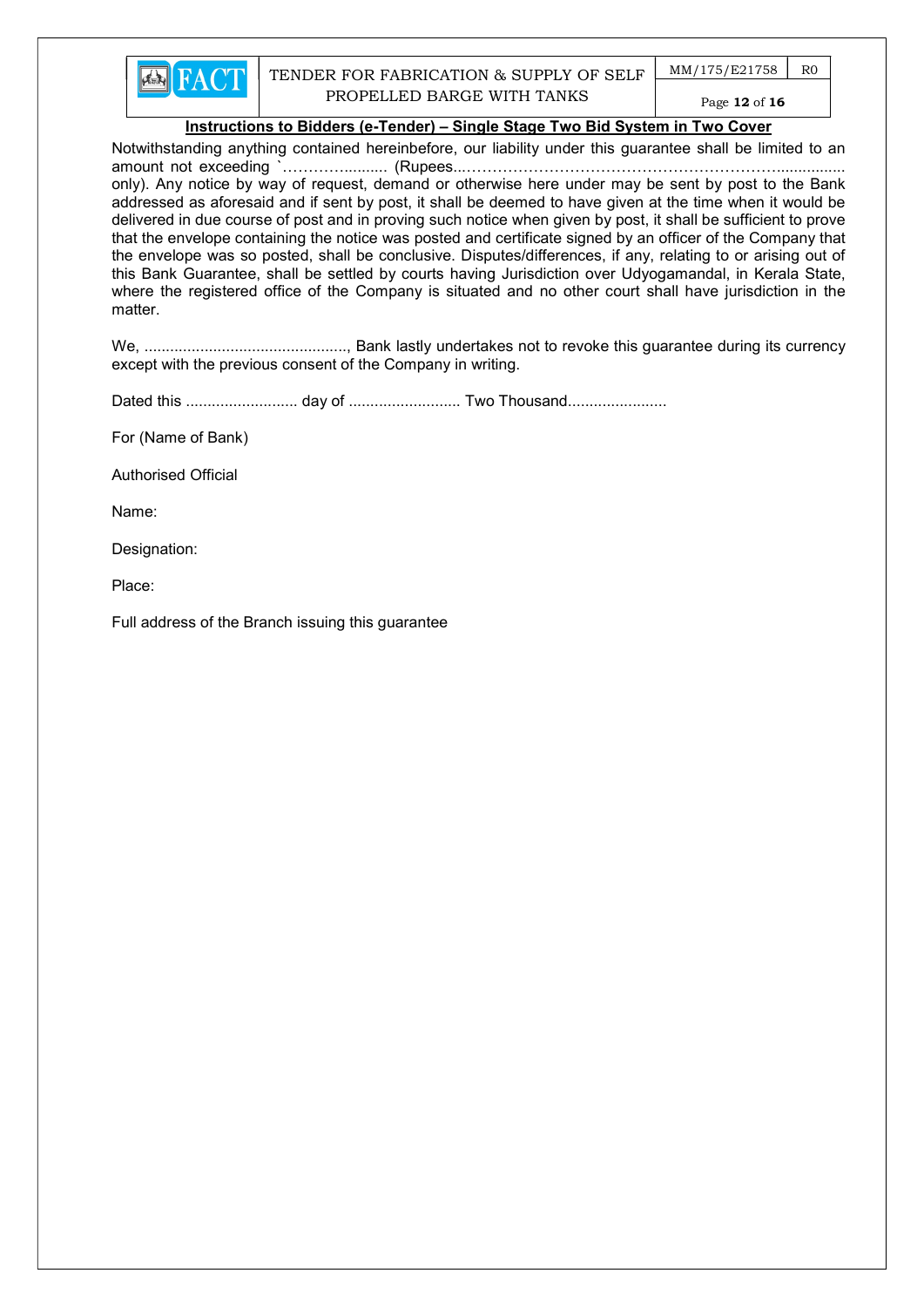

 $MM/175/E21758$  RO Page 12 of 16

# Instructions to Bidders (e-Tender) – Single Stage Two Bid System in Two Cover

Notwithstanding anything contained hereinbefore, our liability under this guarantee shall be limited to an amount not exceeding `………….......... (Rupees...……………………………………………………................ only). Any notice by way of request, demand or otherwise here under may be sent by post to the Bank addressed as aforesaid and if sent by post, it shall be deemed to have given at the time when it would be delivered in due course of post and in proving such notice when given by post, it shall be sufficient to prove that the envelope containing the notice was posted and certificate signed by an officer of the Company that the envelope was so posted, shall be conclusive. Disputes/differences, if any, relating to or arising out of this Bank Guarantee, shall be settled by courts having Jurisdiction over Udyogamandal, in Kerala State, where the registered office of the Company is situated and no other court shall have jurisdiction in the matter.

We, ..............................................., Bank lastly undertakes not to revoke this guarantee during its currency except with the previous consent of the Company in writing.

Dated this .......................... day of .......................... Two Thousand.......................

For (Name of Bank)

Authorised Official

Name:

Designation:

Place:

Full address of the Branch issuing this guarantee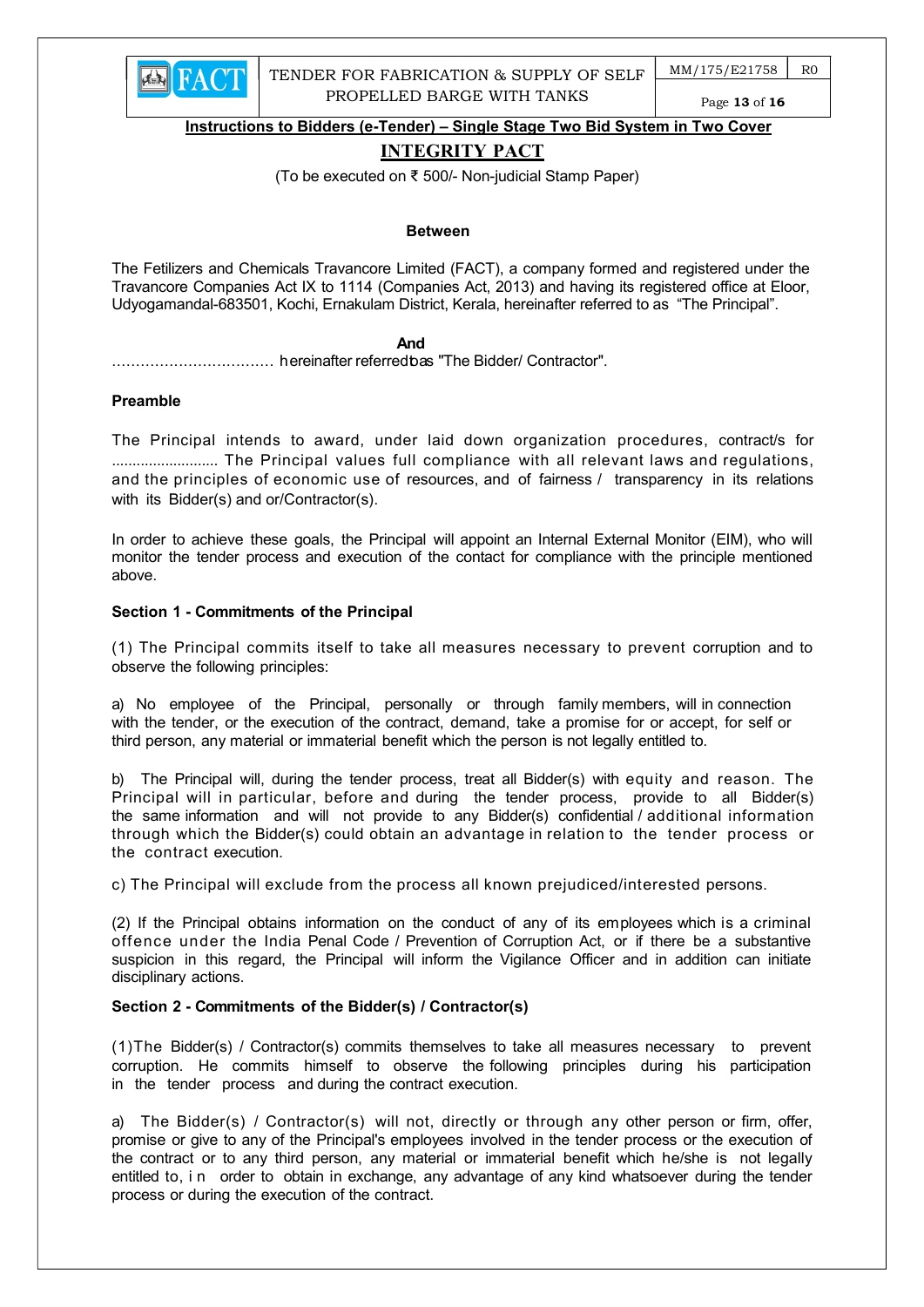

 $MM/175/E21758$   $RO$ 

Page 13 of 16

Instructions to Bidders (e-Tender) – Single Stage Two Bid System in Two Cover

# INTEGRITY PACT

(To be executed on ₹ 500/- Non-judicial Stamp Paper)

#### Between

The Fetilizers and Chemicals Travancore Limited (FACT), a company formed and registered under the Travancore Companies Act IX to 1114 (Companies Act, 2013) and having its registered office at Eloor, Udyogamandal-683501, Kochi, Ernakulam District, Kerala, hereinafter referred to as "The Principal".

#### **And And And And** *And And*

.................................. hereinafter referred to as "The Bidder/ Contractor".

#### Preamble

The Principal intends to award, under laid down organization procedures, contract/s for .......................... The Principal values full compliance with all relevant laws and regulations, and the principles of economic use of resources, and of fairness / transparency in its relations with its Bidder(s) and or/Contractor(s).

In order to achieve these goals, the Principal will appoint an Internal External Monitor (EIM), who will monitor the tender process and execution of the contact for compliance with the principle mentioned above.

## Section 1 - Commitments of the Principal

(1) The Principal commits itself to take all measures necessary to prevent corruption and to observe the following principles:

a) No employee of the Principal, personally or through family members, will in connection with the tender, or the execution of the contract, demand, take a promise for or accept, for self or third person, any material or immaterial benefit which the person is not legally entitled to.

b) The Principal will, during the tender process, treat all Bidder(s) with equity and reason. The Principal will in particular, before and during the tender process, provide to all Bidder(s) the same information and will not provide to any Bidder(s) confidential / additional information through which the Bidder(s) could obtain an advantage in relation to the tender process or the contract execution.

c) The Principal will exclude from the process all known prejudiced/interested persons.

(2) If the Principal obtains information on the conduct of any of its employees which is a criminal offence under the India Penal Code / Prevention of Corruption Act, or if there be a substantive suspicion in this regard, the Principal will inform the Vigilance Officer and in addition can initiate disciplinary actions.

## Section 2 - Commitments of the Bidder(s) / Contractor(s)

(1)The Bidder(s) / Contractor(s) commits themselves to take all measures necessary to prevent corruption. He commits himself to observe the following principles during his participation in the tender process and during the contract execution.

a) The Bidder(s) / Contractor(s) will not, directly or through any other person or firm, offer, promise or give to any of the Principal's employees involved in the tender process or the execution of the contract or to any third person, any material or immaterial benefit which he/she is not legally entitled to, i n order to obtain in exchange, any advantage of any kind whatsoever during the tender process or during the execution of the contract.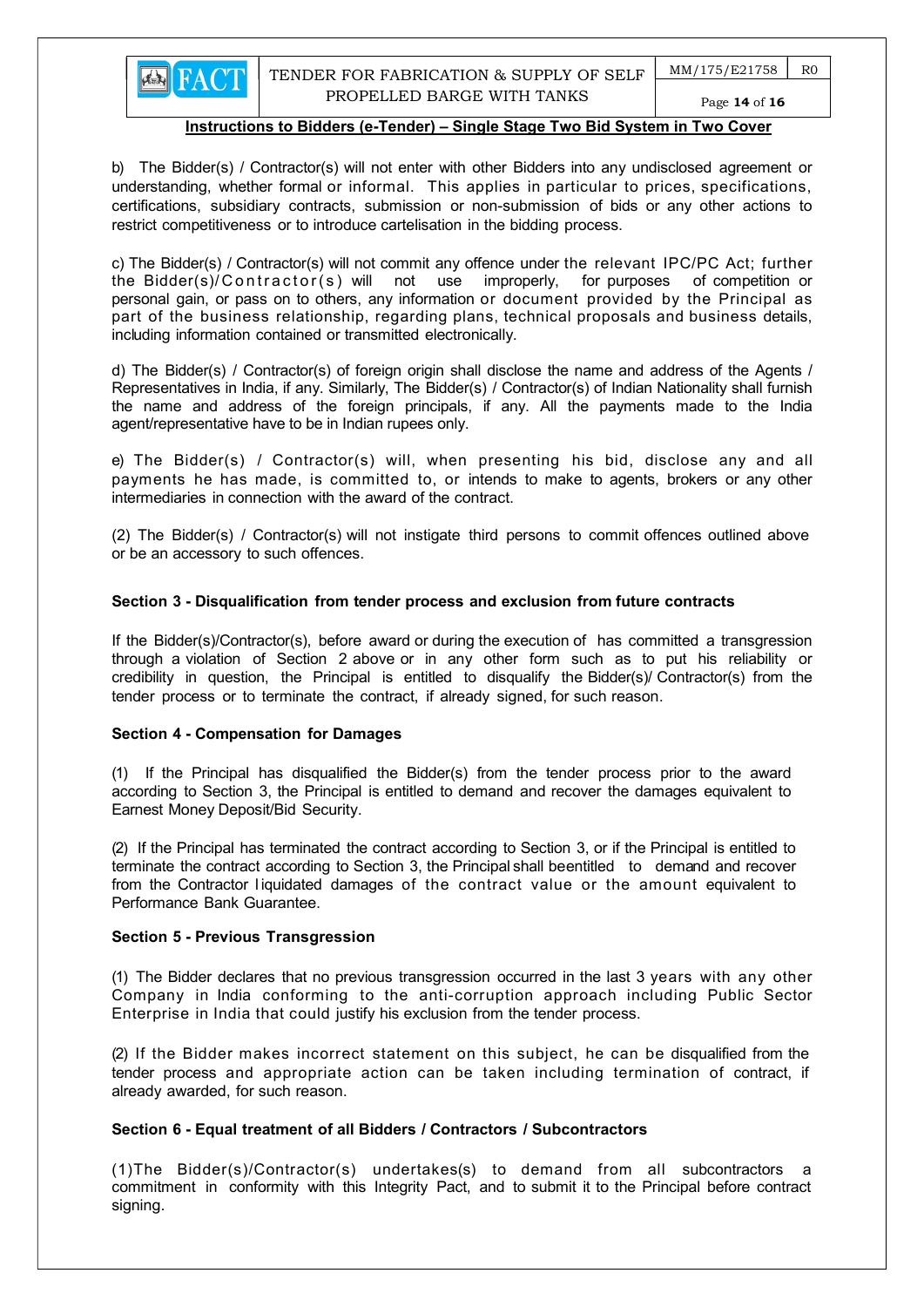b) The Bidder(s) / Contractor(s) will not enter with other Bidders into any undisclosed agreement or understanding, whether formal or informal. This applies in particular to prices, specifications, certifications, subsidiary contracts, submission or non-submission of bids or any other actions to restrict competitiveness or to introduce cartelisation in the bidding process.

c) The Bidder(s) / Contractor(s) will not commit any offence under the relevant IPC/PC Act; further the Bidder(s)/Contractor(s) will not use improperly, for purposes of competition or personal gain, or pass on to others, any information or document provided by the Principal as part of the business relationship, regarding plans, technical proposals and business details, including information contained or transmitted electronically.

d) The Bidder(s) / Contractor(s) of foreign origin shall disclose the name and address of the Agents / Representatives in India, if any. Similarly, The Bidder(s) / Contractor(s) of Indian Nationality shall furnish the name and address of the foreign principals, if any. All the payments made to the India agent/representative have to be in Indian rupees only.

e) The Bidder(s) / Contractor(s) will, when presenting his bid, disclose any and all payments he has made, is committed to, or intends to make to agents, brokers or any other intermediaries in connection with the award of the contract.

(2) The Bidder(s) / Contractor(s) will not instigate third persons to commit offences outlined above or be an accessory to such offences.

#### Section 3 - Disqualification from tender process and exclusion from future contracts

If the Bidder(s)/Contractor(s), before award or during the execution of has committed a transgression through a violation of Section 2 above or in any other form such as to put his reliability or credibility in question, the Principal is entitled to disqualify the Bidder(s)/ Contractor(s) from the tender process or to terminate the contract, if already signed, for such reason.

#### Section 4 - Compensation for Damages

**EN FACT** 

(1) If the Principal has disqualified the Bidder(s) from the tender process prior to the award according to Section 3, the Principal is entitled to demand and recover the damages equivalent to Earnest Money Deposit/Bid Security.

(2) If the Principal has terminated the contract according to Section 3, or if the Principal is entitled to terminate the contract according to Section 3, the Principal shall be entitled to demand and recover from the Contractor l iquidated damages of the contract value or the amount equivalent to Performance Bank Guarantee.

#### Section 5 - Previous Transgression

(1) The Bidder declares that no previous transgression occurred in the last 3 years with any other Company in India conforming to the anti-corruption approach including Public Sector Enterprise in India that could justify his exclusion from the tender process.

(2) If the Bidder makes incorrect statement on this subject, he can be disqualified from the tender process and appropriate action can be taken including termination of contract, if already awarded, for such reason.

## Section 6 - Equal treatment of all Bidders / Contractors / Subcontractors

(1)The Bidder(s)/Contractor(s) undertakes(s) to demand from all subcontractors a commitment in conformity with this Integrity Pact, and to submit it to the Principal before contract signing.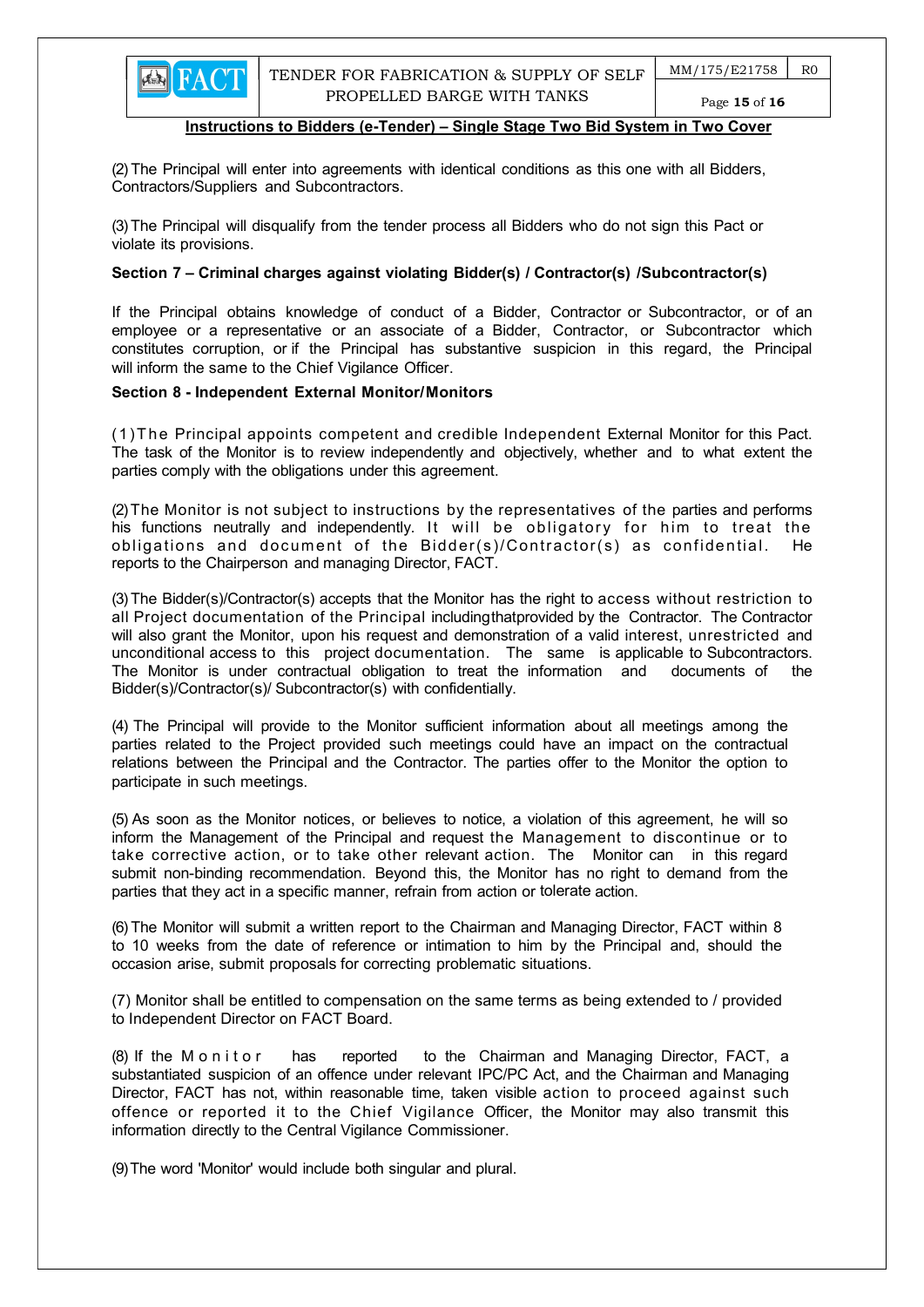Page 15 of 16

#### Instructions to Bidders (e-Tender) – Single Stage Two Bid System in Two Cover

(2) The Principal will enter into agreements with identical conditions as this one with all Bidders, Contractors/Suppliers and Subcontractors.

(3) The Principal will disqualify from the tender process all Bidders who do not sign this Pact or violate its provisions.

#### Section 7 – Criminal charges against violating Bidder(s) / Contractor(s) / Subcontractor(s)

If the Principal obtains knowledge of conduct of a Bidder, Contractor or Subcontractor, or of an employee or a representative or an associate of a Bidder, Contractor, or Subcontractor which constitutes corruption, or if the Principal has substantive suspicion in this regard, the Principal will inform the same to the Chief Vigilance Officer.

#### Section 8 - Independent External Monitor/Monitors

(1)T he Principal appoints competent and credible Independent External Monitor for this Pact. The task of the Monitor is to review independently and objectively, whether and to what extent the parties comply with the obligations under this agreement.

(2) The Monitor is not subject to instructions by the representatives of the parties and performs his functions neutrally and independently. It will be obligatory for him to treat the obligations and document of the Bidder(s)/Contractor(s) as confidential. He reports to the Chairperson and managing Director, FACT.

(3) The Bidder(s)/Contractor(s) accepts that the Monitor has the right to access without restriction to all Project documentation of the Principal including that provided by the Contractor. The Contractor will also grant the Monitor, upon his request and demonstration of a valid interest, unrestricted and unconditional access to this project documentation. The same is applicable to Subcontractors. The Monitor is under contractual obligation to treat the information and documents of the Bidder(s)/Contractor(s)/ Subcontractor(s) with confidentially.

(4) The Principal will provide to the Monitor sufficient information about all meetings among the parties related to the Project provided such meetings could have an impact on the contractual relations between the Principal and the Contractor. The parties offer to the Monitor the option to participate in such meetings.

(5) As soon as the Monitor notices, or believes to notice, a violation of this agreement, he will so inform the Management of the Principal and request the Management to discontinue or to take corrective action, or to take other relevant action. The Monitor can in this regard submit non-binding recommendation. Beyond this, the Monitor has no right to demand from the parties that they act in a specific manner, refrain from action or tolerate action.

(6) The Monitor will submit a written report to the Chairman and Managing Director, FACT within 8 to 10 weeks from the date of reference or intimation to him by the Principal and, should the occasion arise, submit proposals for correcting problematic situations.

 (7) Monitor shall be entitled to compensation on the same terms as being extended to / provided to Independent Director on FACT Board.

(8) If the M on it or has reported to the Chairman and Managing Director, FACT, a substantiated suspicion of an offence under relevant IPC/PC Act, and the Chairman and Managing Director, FACT has not, within reasonable time, taken visible action to proceed against such offence or reported it to the Chief Vigilance Officer, the Monitor may also transmit this information directly to the Central Vigilance Commissioner.

(9) The word 'Monitor' would include both singular and plural.